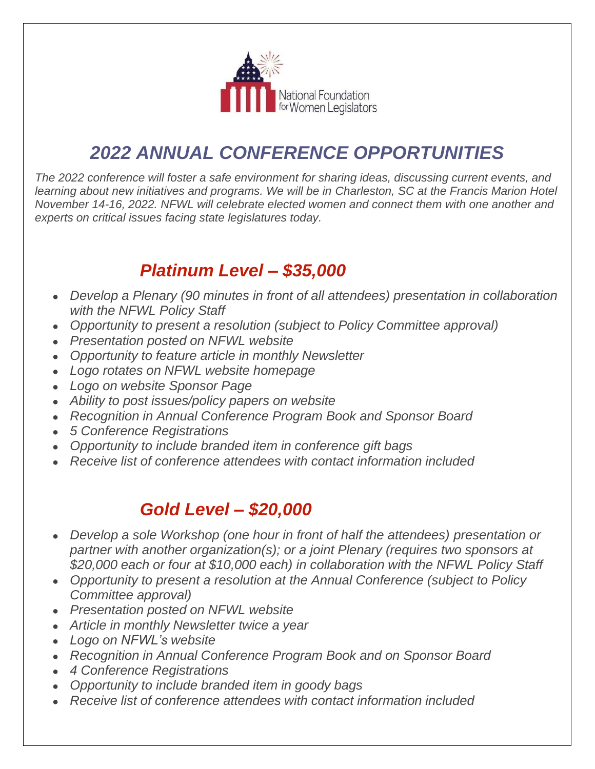

# *2022 ANNUAL CONFERENCE OPPORTUNITIES*

*The 2022 conference will foster a safe environment for sharing ideas, discussing current events, and learning about new initiatives and programs. We will be in Charleston, SC at the Francis Marion Hotel November 14-16, 2022. NFWL will celebrate elected women and connect them with one another and experts on critical issues facing state legislatures today.*

## *Platinum Level – \$35,000*

- *Develop a Plenary (90 minutes in front of all attendees) presentation in collaboration with the NFWL Policy Staff*
- *Opportunity to present a resolution (subject to Policy Committee approval)*
- *Presentation posted on NFWL website*
- *Opportunity to feature article in monthly Newsletter*
- *Logo rotates on NFWL website homepage*
- *Logo on website Sponsor Page*
- *Ability to post issues/policy papers on website*
- *Recognition in Annual Conference Program Book and Sponsor Board*
- *5 Conference Registrations*
- *Opportunity to include branded item in conference gift bags*
- *Receive list of conference attendees with contact information included*

## *Gold Level – \$20,000*

- *Develop a sole Workshop (one hour in front of half the attendees) presentation or partner with another organization(s); or a joint Plenary (requires two sponsors at \$20,000 each or four at \$10,000 each) in collaboration with the NFWL Policy Staff*
- *Opportunity to present a resolution at the Annual Conference (subject to Policy Committee approval)*
- *Presentation posted on NFWL website*
- *Article in monthly Newsletter twice a year*
- *Logo on NFWL's website*
- *Recognition in Annual Conference Program Book and on Sponsor Board*
- *4 Conference Registrations*
- *Opportunity to include branded item in goody bags*
- *Receive list of conference attendees with contact information included*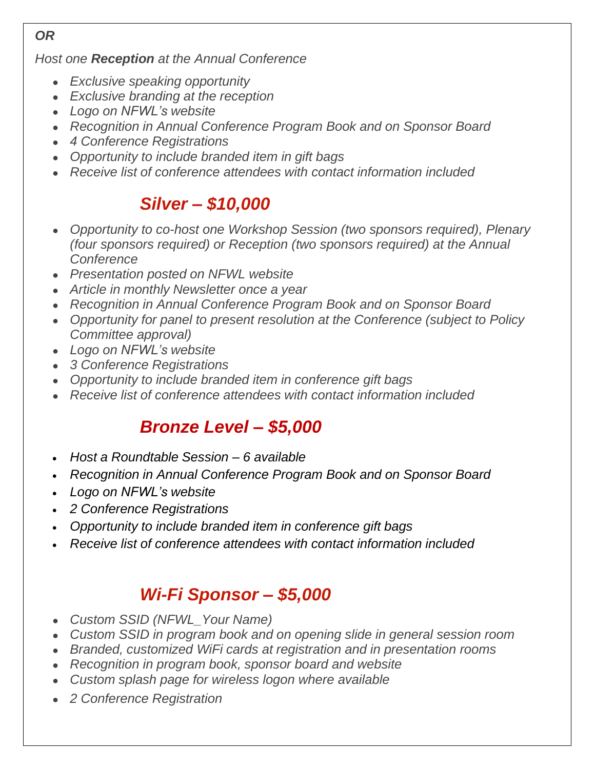### *OR*

*Host one Reception at the Annual Conference*

- *Exclusive speaking opportunity*
- *Exclusive branding at the reception*
- *Logo on NFWL's website*
- *Recognition in Annual Conference Program Book and on Sponsor Board*
- *4 Conference Registrations*
- *Opportunity to include branded item in gift bags*
- *Receive list of conference attendees with contact information included*

## *Silver – \$10,000*

- *Opportunity to co-host one Workshop Session (two sponsors required), Plenary (four sponsors required) or Reception (two sponsors required) at the Annual Conference*
- *Presentation posted on NFWL website*
- *Article in monthly Newsletter once a year*
- *Recognition in Annual Conference Program Book and on Sponsor Board*
- *Opportunity for panel to present resolution at the Conference (subject to Policy Committee approval)*
- *Logo on NFWL's website*
- *3 Conference Registrations*
- *Opportunity to include branded item in conference gift bags*
- *Receive list of conference attendees with contact information included*

## *Bronze Level – \$5,000*

- *Host a Roundtable Session – 6 available*
- *Recognition in Annual Conference Program Book and on Sponsor Board*
- *Logo on NFWL's website*
- *2 Conference Registrations*
- *Opportunity to include branded item in conference gift bags*
- *Receive list of conference attendees with contact information included*

## *Wi-Fi Sponsor – \$5,000*

- *Custom SSID (NFWL\_Your Name)*
- *Custom SSID in program book and on opening slide in general session room*
- *Branded, customized WiFi cards at registration and in presentation rooms*
- *Recognition in program book, sponsor board and website*
- *Custom splash page for wireless logon where available*
- *2 Conference Registration*